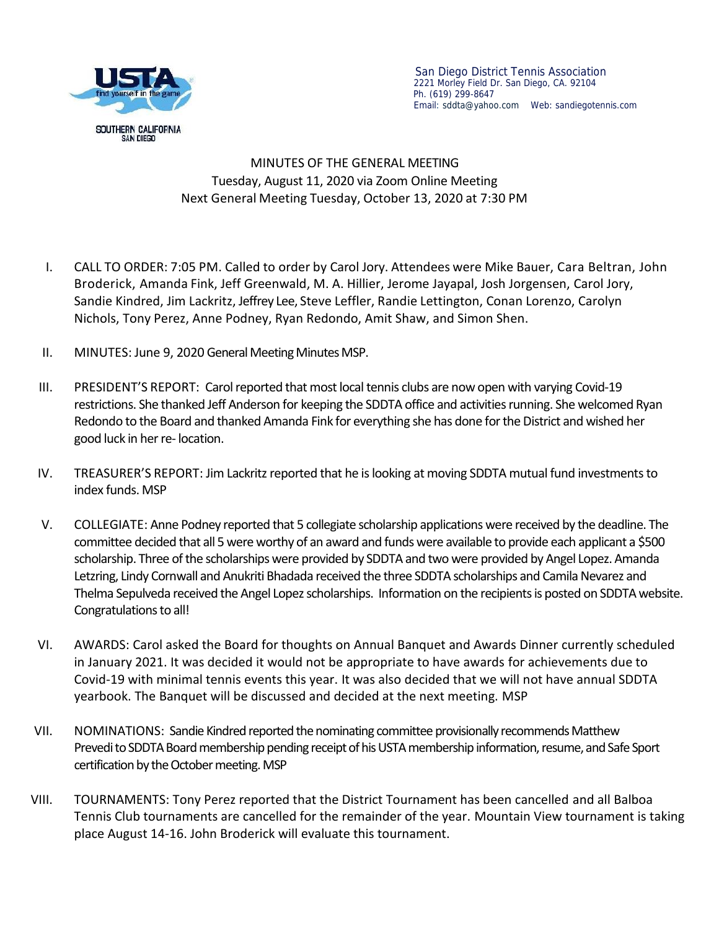

## MINUTES OF THE GENERAL MEETING Tuesday, August 11, 2020 via Zoom Online Meeting Next General Meeting Tuesday, October 13, 2020 at 7:30 PM

- I. CALL TO ORDER: 7:05 PM.Called to order by Carol Jory. Attendees were Mike Bauer, Cara Beltran, John Broderick, Amanda Fink, Jeff Greenwald, M. A. Hillier, Jerome Jayapal, Josh Jorgensen, Carol Jory, Sandie Kindred, Jim Lackritz, Jeffrey Lee, Steve Leffler, Randie Lettington, Conan Lorenzo, Carolyn Nichols, Tony Perez, Anne Podney, Ryan Redondo, Amit Shaw, and Simon Shen.
- II. MINUTES: June 9, 2020 General Meeting Minutes MSP.
- III. PRESIDENT'S REPORT: Carol reported that most local tennis clubs are now open with varying Covid-19 restrictions. She thanked Jeff Anderson for keeping the SDDTA office and activities running. She welcomed Ryan Redondo to the Board and thanked Amanda Fink for everything she has done for the District and wished her good luck in her re- location.
- IV. TREASURER'S REPORT: Jim Lackritz reported that he is looking at moving SDDTA mutual fund investments to index funds. MSP
- V. COLLEGIATE: Anne Podney reported that 5 collegiate scholarship applications were received by the deadline. The committee decided that all 5 were worthy of an award and funds were available to provide each applicant a \$500 scholarship. Three ofthe scholarships were provided by SDDTA and two were provided by Angel Lopez. Amanda Letzring, Lindy Cornwall and Anukriti Bhadada received the three SDDTA scholarships and Camila Nevarez and Thelma Sepulveda received the Angel Lopez scholarships. Information on the recipients is posted on SDDTA website. Congratulations to all!
- VI. AWARDS: Carol asked the Board for thoughts on Annual Banquet and Awards Dinner currently scheduled in January 2021. It was decided it would not be appropriate to have awards for achievements due to Covid-19 with minimal tennis events this year. It was also decided that we will not have annual SDDTA yearbook. The Banquet will be discussed and decided at the next meeting. MSP
- VII. NOMINATIONS: Sandie Kindred reported the nominating committee provisionally recommendsMatthew Prevedi to SDDTA Board membership pending receipt of his USTA membership information, resume, and Safe Sport certification by the October meeting. MSP
- VIII. TOURNAMENTS: Tony Perez reported that the District Tournament has been cancelled and all Balboa Tennis Club tournaments are cancelled for the remainder of the year. Mountain View tournament is taking place August 14-16. John Broderick will evaluate this tournament.